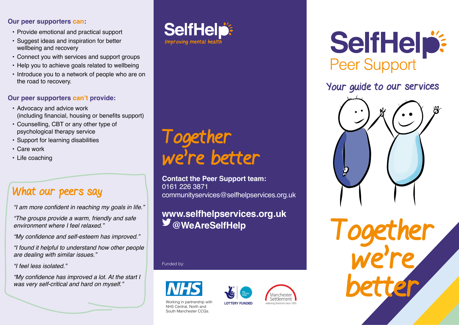#### **Our peer supporters can:**

- Provide emotional and practical support
- Suggest ideas and inspiration for better wellbeing and recovery
- Connect you with services and support groups
- Help you to achieve goals related to wellbeing
- Introduce you to a network of people who are on the road to recovery.

## **Our peer supporters can't provide:**

- Advocacy and advice work (including financial, housing or benefits support)
- Counselling, CBT or any other type of psychological therapy service
- Support for learning disabilities
- Care work
- Life coaching

# What our peers say

"I am more confident in reaching my goals in life."

"The groups provide a warm, friendly and safe environment where I feel relaxed."

"My confidence and self-esteem has improved."

"I found it helpful to understand how other people are dealing with similar issues."

"I feel less isolated."

"My confidence has improved a lot. At the start I was very self-critical and hard on myself."



Together

0161 226 3871

we're better

**Contact the Peer Support team:**

communityservices@selfhelpservices.org.uk

**www.selfhelpservices.org.uk**

# SelfHelp: **Peer Support**

# Your guide to our services



Together we're better

#### Funded by:



Working in partnership with NHS Central, North and South Manchester CCGs.

Settlement **LOTTERY FUNDED** videning horizons since 189